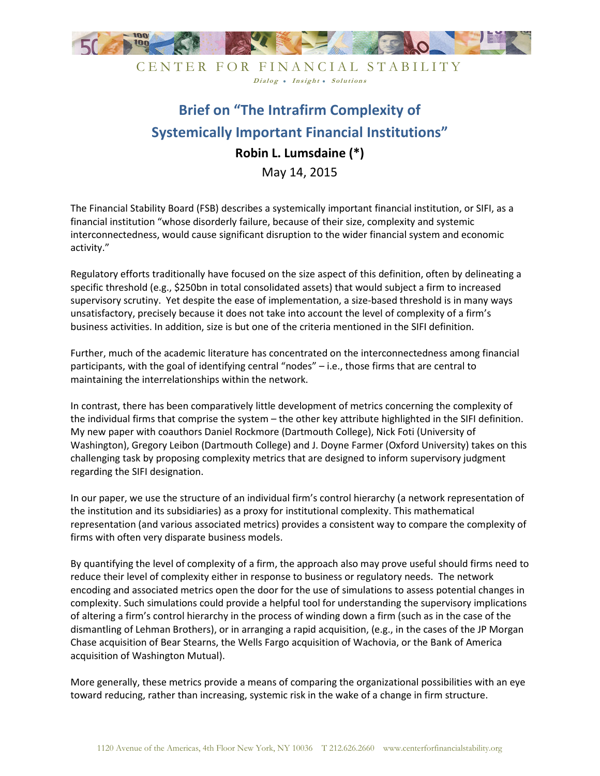

CENTER FOR FINANCIAL STABILITY Dialog . Insight . Solutions

## **Brief on "The Intrafirm Complexity of Systemically Important Financial Institutions" Robin L. Lumsdaine (\*)**  May 14, 2015

The Financial Stability Board (FSB) describes a systemically important financial institution, or SIFI, as a financial institution "whose disorderly failure, because of their size, complexity and systemic interconnectedness, would cause significant disruption to the wider financial system and economic activity."

Regulatory efforts traditionally have focused on the size aspect of this definition, often by delineating a specific threshold (e.g., \$250bn in total consolidated assets) that would subject a firm to increased supervisory scrutiny. Yet despite the ease of implementation, a size-based threshold is in many ways unsatisfactory, precisely because it does not take into account the level of complexity of a firm's business activities. In addition, size is but one of the criteria mentioned in the SIFI definition.

Further, much of the academic literature has concentrated on the interconnectedness among financial participants, with the goal of identifying central "nodes" – i.e., those firms that are central to maintaining the interrelationships within the network.

In contrast, there has been comparatively little development of metrics concerning the complexity of the individual firms that comprise the system – the other key attribute highlighted in the SIFI definition. My new paper with coauthors Daniel Rockmore (Dartmouth College), Nick Foti (University of Washington), Gregory Leibon (Dartmouth College) and J. Doyne Farmer (Oxford University) takes on this challenging task by proposing complexity metrics that are designed to inform supervisory judgment regarding the SIFI designation.

In our paper, we use the structure of an individual firm's control hierarchy (a network representation of the institution and its subsidiaries) as a proxy for institutional complexity. This mathematical representation (and various associated metrics) provides a consistent way to compare the complexity of firms with often very disparate business models.

By quantifying the level of complexity of a firm, the approach also may prove useful should firms need to reduce their level of complexity either in response to business or regulatory needs. The network encoding and associated metrics open the door for the use of simulations to assess potential changes in complexity. Such simulations could provide a helpful tool for understanding the supervisory implications of altering a firm's control hierarchy in the process of winding down a firm (such as in the case of the dismantling of Lehman Brothers), or in arranging a rapid acquisition, (e.g., in the cases of the JP Morgan Chase acquisition of Bear Stearns, the Wells Fargo acquisition of Wachovia, or the Bank of America acquisition of Washington Mutual).

More generally, these metrics provide a means of comparing the organizational possibilities with an eye toward reducing, rather than increasing, systemic risk in the wake of a change in firm structure.